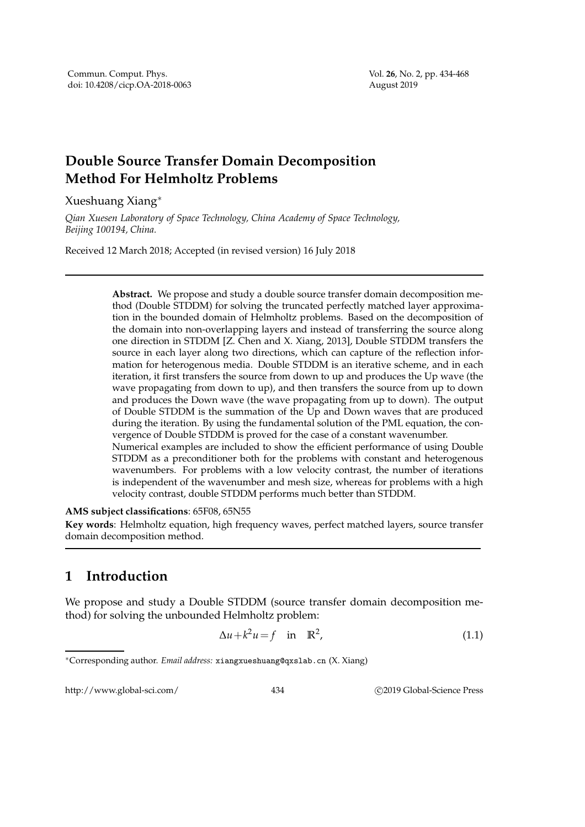## **Double Source Transfer Domain Decomposition Method For Helmholtz Problems**

Xueshuang Xiang<sup>∗</sup>

*Qian Xuesen Laboratory of Space Technology, China Academy of Space Technology, Beijing 100194, China.*

Received 12 March 2018; Accepted (in revised version) 16 July 2018

**Abstract.** We propose and study a double source transfer domain decomposition method (Double STDDM) for solving the truncated perfectly matched layer approximation in the bounded domain of Helmholtz problems. Based on the decomposition of the domain into non-overlapping layers and instead of transferring the source along one direction in STDDM [Z. Chen and X. Xiang, 2013], Double STDDM transfers the source in each layer along two directions, which can capture of the reflection information for heterogenous media. Double STDDM is an iterative scheme, and in each iteration, it first transfers the source from down to up and produces the Up wave (the wave propagating from down to up), and then transfers the source from up to down and produces the Down wave (the wave propagating from up to down). The output of Double STDDM is the summation of the Up and Down waves that are produced during the iteration. By using the fundamental solution of the PML equation, the convergence of Double STDDM is proved for the case of a constant wavenumber. Numerical examples are included to show the efficient performance of using Double STDDM as a preconditioner both for the problems with constant and heterogenous wavenumbers. For problems with a low velocity contrast, the number of iterations is independent of the wavenumber and mesh size, whereas for problems with a high

velocity contrast, double STDDM performs much better than STDDM.

## **AMS subject classifications**: 65F08, 65N55

**Key words**: Helmholtz equation, high frequency waves, perfect matched layers, source transfer domain decomposition method.

## **1 Introduction**

We propose and study a Double STDDM (source transfer domain decomposition method) for solving the unbounded Helmholtz problem:

$$
\Delta u + k^2 u = f \quad \text{in} \quad \mathbb{R}^2,\tag{1.1}
$$

http://www.global-sci.com/ 434 c 2019 Global-Science Press

<sup>∗</sup>Corresponding author. *Email address:* xiangxueshuang@qxslab.cn (X. Xiang)